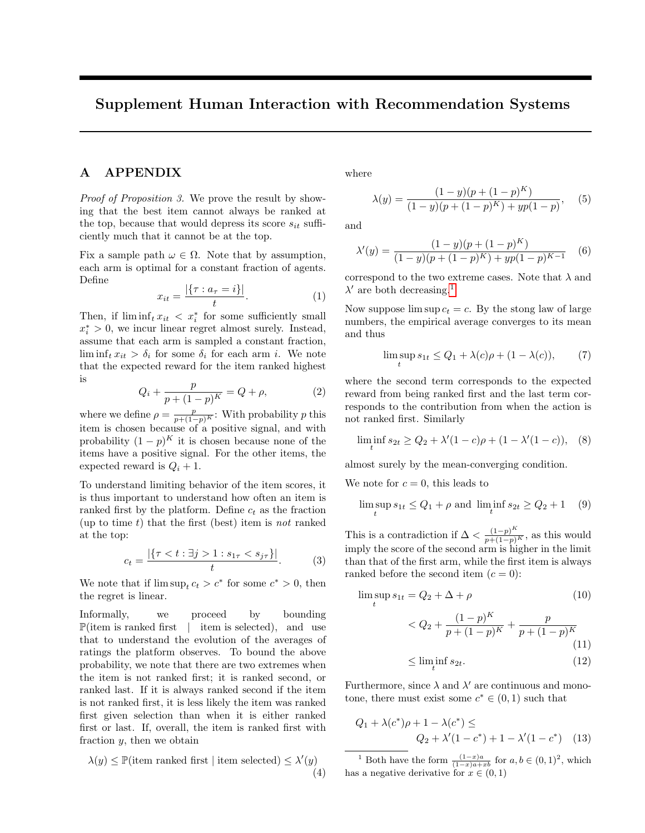## Supplement Human Interaction with Recommendation Systems

## A APPENDIX

Proof of Proposition 3. We prove the result by showing that the best item cannot always be ranked at the top, because that would depress its score  $s_{it}$  sufficiently much that it cannot be at the top.

Fix a sample path  $\omega \in \Omega$ . Note that by assumption, each arm is optimal for a constant fraction of agents. Define

$$
x_{it} = \frac{|\{\tau : a_{\tau} = i\}|}{t}.
$$
 (1)

Then, if  $\liminf_t x_{it} < x_i^*$  for some sufficiently small  $x_i^* > 0$ , we incur linear regret almost surely. Instead, assume that each arm is sampled a constant fraction,  $\liminf_t x_{it} > \delta_i$  for some  $\delta_i$  for each arm i. We note that the expected reward for the item ranked highest is

$$
Q_i + \frac{p}{p + (1 - p)^K} = Q + \rho,
$$
 (2)

where we define  $\rho = \frac{p}{p+(1-p)^K}$ : With probability p this item is chosen because of a positive signal, and with probability  $(1-p)^K$  it is chosen because none of the items have a positive signal. For the other items, the expected reward is  $Q_i + 1$ .

To understand limiting behavior of the item scores, it is thus important to understand how often an item is ranked first by the platform. Define  $c_t$  as the fraction (up to time  $t$ ) that the first (best) item is *not* ranked at the top:

$$
c_t = \frac{|\{\tau < t : \exists j > 1 : s_{1\tau} < s_{j\tau}\}|}{t}.\tag{3}
$$

We note that if  $\limsup_{t \to \infty} c_t > c^*$  for some  $c^* > 0$ , then the regret is linear.

Informally, we proceed by bounding  $\mathbb{P}(\text{item is ranked first } | \text{item is selected}), \text{and use}$ that to understand the evolution of the averages of ratings the platform observes. To bound the above probability, we note that there are two extremes when the item is not ranked first; it is ranked second, or ranked last. If it is always ranked second if the item is not ranked first, it is less likely the item was ranked first given selection than when it is either ranked first or last. If, overall, the item is ranked first with fraction y, then we obtain

$$
\lambda(y) \le \mathbb{P}(\text{item ranked first } | \text{ item selected}) \le \lambda'(y)
$$
\n
$$
\tag{4}
$$

where

$$
\lambda(y) = \frac{(1-y)(p + (1-p)^K)}{(1-y)(p + (1-p)^K) + yp(1-p)},
$$
(5)

and

$$
\lambda'(y) = \frac{(1-y)(p + (1-p)^K)}{(1-y)(p + (1-p)^K) + yp(1-p)^{K-1}} \quad (6)
$$

correspond to the two extreme cases. Note that  $\lambda$  and  $\lambda'$  are both decreasing.<sup>[1](#page-0-0)</sup>

Now suppose  $\limsup c_t = c$ . By the stong law of large numbers, the empirical average converges to its mean and thus

$$
\limsup_{t} s_{1t} \le Q_1 + \lambda(c)\rho + (1 - \lambda(c)), \qquad (7)
$$

where the second term corresponds to the expected reward from being ranked first and the last term corresponds to the contribution from when the action is not ranked first. Similarly

$$
\liminf_{t} s_{2t} \ge Q_2 + \lambda'(1-c)\rho + (1-\lambda'(1-c)), \quad (8)
$$

almost surely by the mean-converging condition.

We note for  $c = 0$ , this leads to

$$
\limsup_{t} s_{1t} \le Q_1 + \rho \text{ and } \liminf_{t} s_{2t} \ge Q_2 + 1 \quad (9)
$$

This is a contradiction if  $\Delta < \frac{(1-p)^K}{p+(1-p)^K}$ , as this would imply the score of the second arm is higher in the limit than that of the first arm, while the first item is always ranked before the second item  $(c = 0)$ :

$$
\limsup_{t} s_{1t} = Q_2 + \Delta + \rho \tag{10}
$$

$$
\langle Q_2 + \frac{(1-p)^K}{p + (1-p)^K} + \frac{p}{p + (1-p)^K} \tag{11}
$$

$$
\leq \liminf_{t} s_{2t}.\tag{12}
$$

Furthermore, since  $\lambda$  and  $\lambda'$  are continuous and monotone, there must exist some  $c^* \in (0,1)$  such that

$$
Q_1 + \lambda(c^*)\rho + 1 - \lambda(c^*) \le
$$
  
 
$$
Q_2 + \lambda'(1 - c^*) + 1 - \lambda'(1 - c^*) \quad (13)
$$

<span id="page-0-0"></span><sup>1</sup> Both have the form  $\frac{(1-x)a}{(1-x)a+xb}$  for  $a, b \in (0,1)^2$ , which has a negative derivative for  $x \in (0,1)$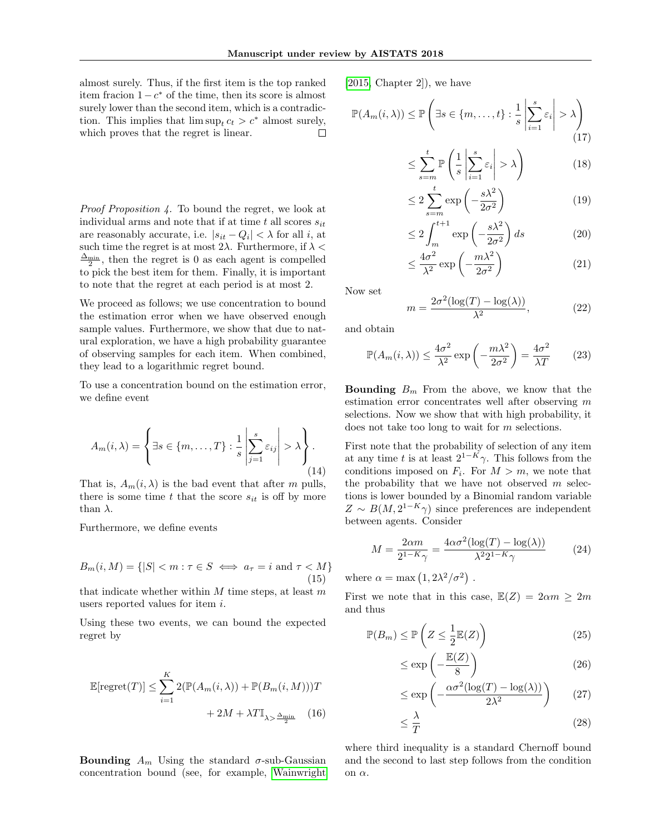almost surely. Thus, if the first item is the top ranked item fracion  $1 - c^*$  of the time, then its score is almost surely lower than the second item, which is a contradiction. This implies that  $\limsup_t c_t > c^*$  almost surely, which proves that the regret is linear.  $\Box$ 

Proof Proposition 4. To bound the regret, we look at individual arms and note that if at time t all scores  $s_{it}$ are reasonably accurate, i.e.  $|s_{it} - Q_i| < \lambda$  for all i, at such time the regret is at most  $2\lambda$ . Furthermore, if  $\lambda$  $\frac{\Delta_{\min}}{2}$ , then the regret is 0 as each agent is compelled to pick the best item for them. Finally, it is important to note that the regret at each period is at most 2.

We proceed as follows; we use concentration to bound the estimation error when we have observed enough sample values. Furthermore, we show that due to natural exploration, we have a high probability guarantee of observing samples for each item. When combined, they lead to a logarithmic regret bound.

To use a concentration bound on the estimation error, we define event

$$
A_m(i,\lambda) = \left\{ \exists s \in \{m,\dots,T\} : \frac{1}{s} \left| \sum_{j=1}^s \varepsilon_{ij} \right| > \lambda \right\}.
$$
\n(14)

That is,  $A_m(i, \lambda)$  is the bad event that after m pulls, there is some time t that the score  $s_{it}$  is off by more than  $\lambda$ .

Furthermore, we define events

$$
B_m(i, M) = \{ |S| < m : \tau \in S \iff a_\tau = i \text{ and } \tau < M \}
$$
\n
$$
(15)
$$

that indicate whether within  $M$  time steps, at least  $m$ users reported values for item i.

Using these two events, we can bound the expected regret by

$$
\mathbb{E}[\text{regret}(T)] \le \sum_{i=1}^{K} 2(\mathbb{P}(A_m(i,\lambda)) + \mathbb{P}(B_m(i,M)))T + 2M + \lambda T \mathbb{I}_{\lambda > \frac{\Delta_{\text{min}}}{2}} \quad (16)
$$

**Bounding**  $A_m$  Using the standard  $\sigma$ -sub-Gaussian concentration bound (see, for example, [Wainwright](#page-2-0)

[\[2015,](#page-2-0) Chapter 2]), we have

$$
\mathbb{P}(A_m(i,\lambda)) \le \mathbb{P}\left(\exists s \in \{m,\dots,t\} : \frac{1}{s} \left| \sum_{i=1}^s \varepsilon_i \right| > \lambda\right)
$$
\n(17)

$$
\leq \sum_{s=m}^{t} \mathbb{P}\left(\frac{1}{s} \left| \sum_{i=1}^{s} \varepsilon_{i} \right| > \lambda\right) \tag{18}
$$

$$
\leq 2\sum_{s=m}^{t} \exp\left(-\frac{s\lambda^2}{2\sigma^2}\right) \tag{19}
$$

$$
\leq 2 \int_{m}^{t+1} \exp\left(-\frac{s\lambda^2}{2\sigma^2}\right) ds \tag{20}
$$

$$
\leq \frac{4\sigma^2}{\lambda^2} \exp\left(-\frac{m\lambda^2}{2\sigma^2}\right) \tag{21}
$$

Now set

$$
m = \frac{2\sigma^2(\log(T) - \log(\lambda))}{\lambda^2},\tag{22}
$$

and obtain

$$
\mathbb{P}(A_m(i,\lambda)) \le \frac{4\sigma^2}{\lambda^2} \exp\left(-\frac{m\lambda^2}{2\sigma^2}\right) = \frac{4\sigma^2}{\lambda T} \qquad (23)
$$

**Bounding**  $B_m$  From the above, we know that the estimation error concentrates well after observing m selections. Now we show that with high probability, it does not take too long to wait for m selections.

First note that the probability of selection of any item at any time t is at least  $2^{1-K}\gamma$ . This follows from the conditions imposed on  $F_i$ . For  $M > m$ , we note that the probability that we have not observed  $m$  selections is lower bounded by a Binomial random variable  $Z \sim B(M, 2^{1-K}\gamma)$  since preferences are independent between agents. Consider

$$
M = \frac{2\alpha m}{2^{1-K}\gamma} = \frac{4\alpha\sigma^2(\log(T) - \log(\lambda))}{\lambda^2 2^{1-K}\gamma}
$$
 (24)

where  $\alpha = \max(1, 2\lambda^2/\sigma^2)$ .

First we note that in this case,  $\mathbb{E}(Z) = 2\alpha m > 2m$ and thus

$$
\mathbb{P}(B_m) \le \mathbb{P}\left(Z \le \frac{1}{2}\mathbb{E}(Z)\right) \tag{25}
$$

$$
\leq \exp\left(-\frac{\mathbb{E}(Z)}{8}\right) \tag{26}
$$

$$
\leq \exp\left(-\frac{\alpha \sigma^2 (\log(T) - \log(\lambda))}{2\lambda^2}\right) \tag{27}
$$

$$
\leq \frac{\lambda}{T} \tag{28}
$$

<span id="page-1-0"></span>where third inequality is a standard Chernoff bound and the second to last step follows from the condition on  $\alpha$ .